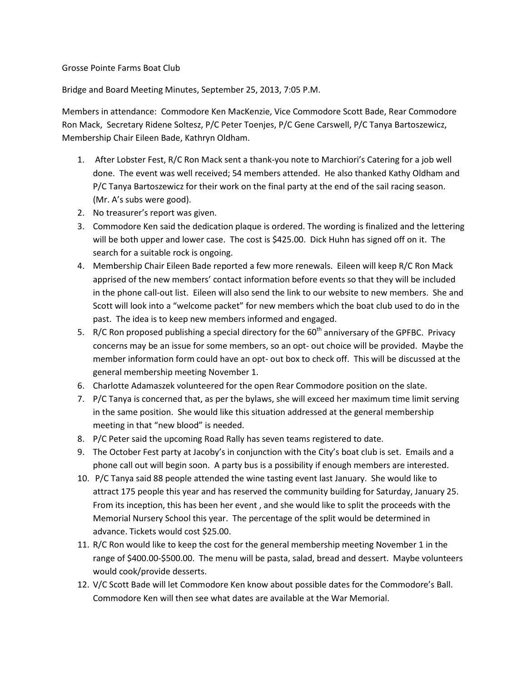## Grosse Pointe Farms Boat Club

Bridge and Board Meeting Minutes, September 25, 2013, 7:05 P.M.

Members in attendance: Commodore Ken MacKenzie, Vice Commodore Scott Bade, Rear Commodore Ron Mack, Secretary Ridene Soltesz, P/C Peter Toenjes, P/C Gene Carswell, P/C Tanya Bartoszewicz, Membership Chair Eileen Bade, Kathryn Oldham.

- 1. After Lobster Fest, R/C Ron Mack sent a thank-you note to Marchiori's Catering for a job well done. The event was well received; 54 members attended. He also thanked Kathy Oldham and P/C Tanya Bartoszewicz for their work on the final party at the end of the sail racing season. (Mr. A's subs were good).
- 2. No treasurer's report was given.
- 3. Commodore Ken said the dedication plaque is ordered. The wording is finalized and the lettering will be both upper and lower case. The cost is \$425.00. Dick Huhn has signed off on it. The search for a suitable rock is ongoing.
- 4. Membership Chair Eileen Bade reported a few more renewals. Eileen will keep R/C Ron Mack apprised of the new members' contact information before events so that they will be included in the phone call-out list. Eileen will also send the link to our website to new members. She and Scott will look into a "welcome packet" for new members which the boat club used to do in the past. The idea is to keep new members informed and engaged.
- 5. R/C Ron proposed publishing a special directory for the  $60<sup>th</sup>$  anniversary of the GPFBC. Privacy concerns may be an issue for some members, so an opt- out choice will be provided. Maybe the member information form could have an opt- out box to check off. This will be discussed at the general membership meeting November 1.
- 6. Charlotte Adamaszek volunteered for the open Rear Commodore position on the slate.
- 7. P/C Tanya is concerned that, as per the bylaws, she will exceed her maximum time limit serving in the same position. She would like this situation addressed at the general membership meeting in that "new blood" is needed.
- 8. P/C Peter said the upcoming Road Rally has seven teams registered to date.
- 9. The October Fest party at Jacoby's in conjunction with the City's boat club is set. Emails and a phone call out will begin soon. A party bus is a possibility if enough members are interested.
- 10. P/C Tanya said 88 people attended the wine tasting event last January. She would like to attract 175 people this year and has reserved the community building for Saturday, January 25. From its inception, this has been her event , and she would like to split the proceeds with the Memorial Nursery School this year. The percentage of the split would be determined in advance. Tickets would cost \$25.00.
- 11. R/C Ron would like to keep the cost for the general membership meeting November 1 in the range of \$400.00-\$500.00. The menu will be pasta, salad, bread and dessert. Maybe volunteers would cook/provide desserts.
- 12. V/C Scott Bade will let Commodore Ken know about possible dates for the Commodore's Ball. Commodore Ken will then see what dates are available at the War Memorial.